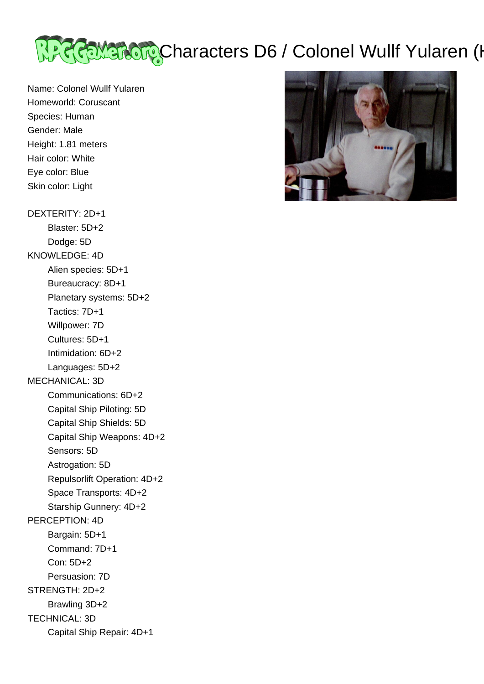

Name: Colonel Wullf Yularen Homeworld: Coruscant Species: Human Gender: Male Height: 1.81 meters Hair color: White Eye color: Blue Skin color: Light

DEXTERITY: 2D+1

 Blaster: 5D+2 Dodge: 5D KNOWLEDGE: 4D Alien species: 5D+1 Bureaucracy: 8D+1 Planetary systems: 5D+2 Tactics: 7D+1 Willpower: 7D Cultures: 5D+1 Intimidation: 6D+2 Languages: 5D+2 MECHANICAL: 3D Communications: 6D+2 Capital Ship Piloting: 5D Capital Ship Shields: 5D Capital Ship Weapons: 4D+2 Sensors: 5D Astrogation: 5D Repulsorlift Operation: 4D+2 Space Transports: 4D+2 Starship Gunnery: 4D+2 PERCEPTION: 4D Bargain: 5D+1 Command: 7D+1 Con: 5D+2 Persuasion: 7D STRENGTH: 2D+2 Brawling 3D+2 TECHNICAL: 3D Capital Ship Repair: 4D+1

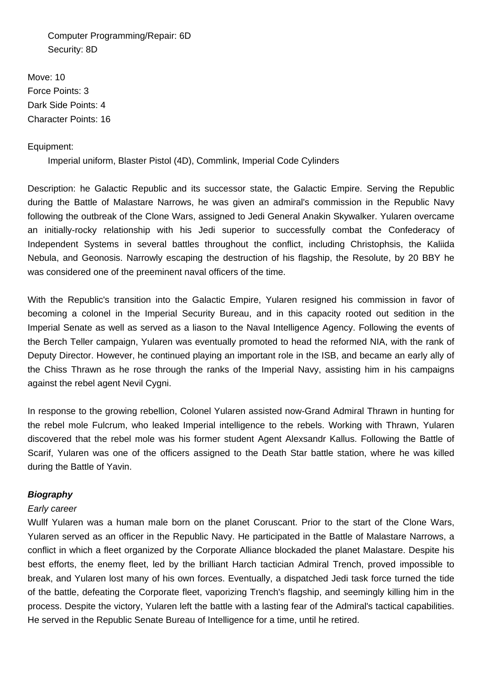Computer Programming/Repair: 6D Security: 8D

Move: 10 Force Points: 3 Dark Side Points: 4 Character Points: 16

# Equipment:

Imperial uniform, Blaster Pistol (4D), Commlink, Imperial Code Cylinders

Description: he Galactic Republic and its successor state, the Galactic Empire. Serving the Republic during the Battle of Malastare Narrows, he was given an admiral's commission in the Republic Navy following the outbreak of the Clone Wars, assigned to Jedi General Anakin Skywalker. Yularen overcame an initially-rocky relationship with his Jedi superior to successfully combat the Confederacy of Independent Systems in several battles throughout the conflict, including Christophsis, the Kaliida Nebula, and Geonosis. Narrowly escaping the destruction of his flagship, the Resolute, by 20 BBY he was considered one of the preeminent naval officers of the time.

With the Republic's transition into the Galactic Empire, Yularen resigned his commission in favor of becoming a colonel in the Imperial Security Bureau, and in this capacity rooted out sedition in the Imperial Senate as well as served as a liason to the Naval Intelligence Agency. Following the events of the Berch Teller campaign, Yularen was eventually promoted to head the reformed NIA, with the rank of Deputy Director. However, he continued playing an important role in the ISB, and became an early ally of the Chiss Thrawn as he rose through the ranks of the Imperial Navy, assisting him in his campaigns against the rebel agent Nevil Cygni.

In response to the growing rebellion, Colonel Yularen assisted now-Grand Admiral Thrawn in hunting for the rebel mole Fulcrum, who leaked Imperial intelligence to the rebels. Working with Thrawn, Yularen discovered that the rebel mole was his former student Agent Alexsandr Kallus. Following the Battle of Scarif, Yularen was one of the officers assigned to the Death Star battle station, where he was killed during the Battle of Yavin.

# **Biography**

## Early career

Wullf Yularen was a human male born on the planet Coruscant. Prior to the start of the Clone Wars, Yularen served as an officer in the Republic Navy. He participated in the Battle of Malastare Narrows, a conflict in which a fleet organized by the Corporate Alliance blockaded the planet Malastare. Despite his best efforts, the enemy fleet, led by the brilliant Harch tactician Admiral Trench, proved impossible to break, and Yularen lost many of his own forces. Eventually, a dispatched Jedi task force turned the tide of the battle, defeating the Corporate fleet, vaporizing Trench's flagship, and seemingly killing him in the process. Despite the victory, Yularen left the battle with a lasting fear of the Admiral's tactical capabilities. He served in the Republic Senate Bureau of Intelligence for a time, until he retired.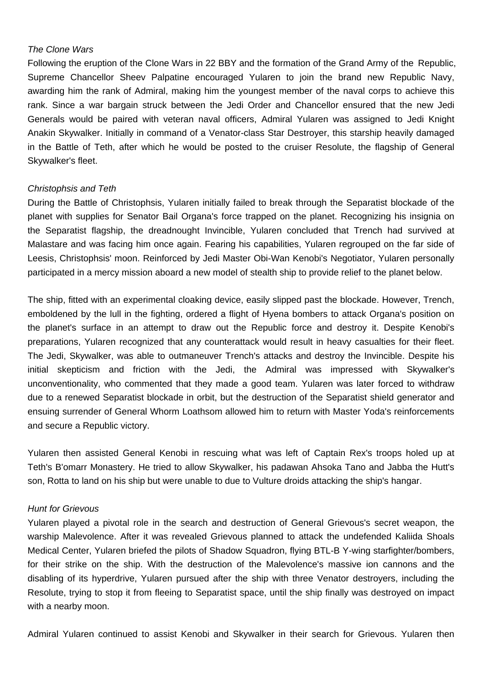## The Clone Wars

Following the eruption of the Clone Wars in 22 BBY and the formation of the Grand Army of the Republic, Supreme Chancellor Sheev Palpatine encouraged Yularen to join the brand new Republic Navy, awarding him the rank of Admiral, making him the youngest member of the naval corps to achieve this rank. Since a war bargain struck between the Jedi Order and Chancellor ensured that the new Jedi Generals would be paired with veteran naval officers, Admiral Yularen was assigned to Jedi Knight Anakin Skywalker. Initially in command of a Venator-class Star Destroyer, this starship heavily damaged in the Battle of Teth, after which he would be posted to the cruiser Resolute, the flagship of General Skywalker's fleet.

### Christophsis and Teth

During the Battle of Christophsis, Yularen initially failed to break through the Separatist blockade of the planet with supplies for Senator Bail Organa's force trapped on the planet. Recognizing his insignia on the Separatist flagship, the dreadnought Invincible, Yularen concluded that Trench had survived at Malastare and was facing him once again. Fearing his capabilities, Yularen regrouped on the far side of Leesis, Christophsis' moon. Reinforced by Jedi Master Obi-Wan Kenobi's Negotiator, Yularen personally participated in a mercy mission aboard a new model of stealth ship to provide relief to the planet below.

The ship, fitted with an experimental cloaking device, easily slipped past the blockade. However, Trench, emboldened by the lull in the fighting, ordered a flight of Hyena bombers to attack Organa's position on the planet's surface in an attempt to draw out the Republic force and destroy it. Despite Kenobi's preparations, Yularen recognized that any counterattack would result in heavy casualties for their fleet. The Jedi, Skywalker, was able to outmaneuver Trench's attacks and destroy the Invincible. Despite his initial skepticism and friction with the Jedi, the Admiral was impressed with Skywalker's unconventionality, who commented that they made a good team. Yularen was later forced to withdraw due to a renewed Separatist blockade in orbit, but the destruction of the Separatist shield generator and ensuing surrender of General Whorm Loathsom allowed him to return with Master Yoda's reinforcements and secure a Republic victory.

Yularen then assisted General Kenobi in rescuing what was left of Captain Rex's troops holed up at Teth's B'omarr Monastery. He tried to allow Skywalker, his padawan Ahsoka Tano and Jabba the Hutt's son, Rotta to land on his ship but were unable to due to Vulture droids attacking the ship's hangar.

#### Hunt for Grievous

Yularen played a pivotal role in the search and destruction of General Grievous's secret weapon, the warship Malevolence. After it was revealed Grievous planned to attack the undefended Kaliida Shoals Medical Center, Yularen briefed the pilots of Shadow Squadron, flying BTL-B Y-wing starfighter/bombers, for their strike on the ship. With the destruction of the Malevolence's massive ion cannons and the disabling of its hyperdrive, Yularen pursued after the ship with three Venator destroyers, including the Resolute, trying to stop it from fleeing to Separatist space, until the ship finally was destroyed on impact with a nearby moon.

Admiral Yularen continued to assist Kenobi and Skywalker in their search for Grievous. Yularen then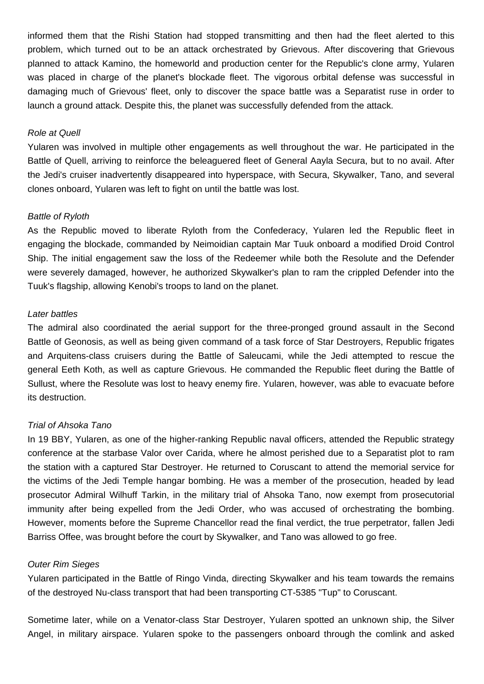informed them that the Rishi Station had stopped transmitting and then had the fleet alerted to this problem, which turned out to be an attack orchestrated by Grievous. After discovering that Grievous planned to attack Kamino, the homeworld and production center for the Republic's clone army, Yularen was placed in charge of the planet's blockade fleet. The vigorous orbital defense was successful in damaging much of Grievous' fleet, only to discover the space battle was a Separatist ruse in order to launch a ground attack. Despite this, the planet was successfully defended from the attack.

### Role at Quell

Yularen was involved in multiple other engagements as well throughout the war. He participated in the Battle of Quell, arriving to reinforce the beleaguered fleet of General Aayla Secura, but to no avail. After the Jedi's cruiser inadvertently disappeared into hyperspace, with Secura, Skywalker, Tano, and several clones onboard, Yularen was left to fight on until the battle was lost.

## Battle of Ryloth

As the Republic moved to liberate Ryloth from the Confederacy, Yularen led the Republic fleet in engaging the blockade, commanded by Neimoidian captain Mar Tuuk onboard a modified Droid Control Ship. The initial engagement saw the loss of the Redeemer while both the Resolute and the Defender were severely damaged, however, he authorized Skywalker's plan to ram the crippled Defender into the Tuuk's flagship, allowing Kenobi's troops to land on the planet.

## Later battles

The admiral also coordinated the aerial support for the three-pronged ground assault in the Second Battle of Geonosis, as well as being given command of a task force of Star Destroyers, Republic frigates and Arquitens-class cruisers during the Battle of Saleucami, while the Jedi attempted to rescue the general Eeth Koth, as well as capture Grievous. He commanded the Republic fleet during the Battle of Sullust, where the Resolute was lost to heavy enemy fire. Yularen, however, was able to evacuate before its destruction.

## Trial of Ahsoka Tano

In 19 BBY, Yularen, as one of the higher-ranking Republic naval officers, attended the Republic strategy conference at the starbase Valor over Carida, where he almost perished due to a Separatist plot to ram the station with a captured Star Destroyer. He returned to Coruscant to attend the memorial service for the victims of the Jedi Temple hangar bombing. He was a member of the prosecution, headed by lead prosecutor Admiral Wilhuff Tarkin, in the military trial of Ahsoka Tano, now exempt from prosecutorial immunity after being expelled from the Jedi Order, who was accused of orchestrating the bombing. However, moments before the Supreme Chancellor read the final verdict, the true perpetrator, fallen Jedi Barriss Offee, was brought before the court by Skywalker, and Tano was allowed to go free.

#### Outer Rim Sieges

Yularen participated in the Battle of Ringo Vinda, directing Skywalker and his team towards the remains of the destroyed Nu-class transport that had been transporting CT-5385 "Tup" to Coruscant.

Sometime later, while on a Venator-class Star Destroyer, Yularen spotted an unknown ship, the Silver Angel, in military airspace. Yularen spoke to the passengers onboard through the comlink and asked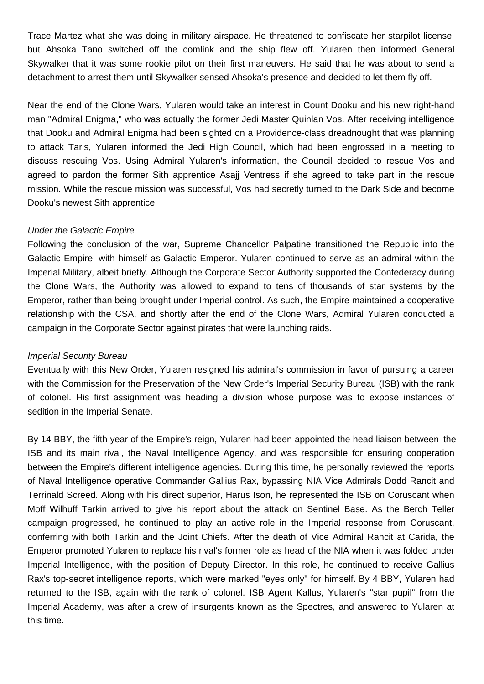Trace Martez what she was doing in military airspace. He threatened to confiscate her starpilot license, but Ahsoka Tano switched off the comlink and the ship flew off. Yularen then informed General Skywalker that it was some rookie pilot on their first maneuvers. He said that he was about to send a detachment to arrest them until Skywalker sensed Ahsoka's presence and decided to let them fly off.

Near the end of the Clone Wars, Yularen would take an interest in Count Dooku and his new right-hand man "Admiral Enigma," who was actually the former Jedi Master Quinlan Vos. After receiving intelligence that Dooku and Admiral Enigma had been sighted on a Providence-class dreadnought that was planning to attack Taris, Yularen informed the Jedi High Council, which had been engrossed in a meeting to discuss rescuing Vos. Using Admiral Yularen's information, the Council decided to rescue Vos and agreed to pardon the former Sith apprentice Asajj Ventress if she agreed to take part in the rescue mission. While the rescue mission was successful, Vos had secretly turned to the Dark Side and become Dooku's newest Sith apprentice.

## Under the Galactic Empire

Following the conclusion of the war, Supreme Chancellor Palpatine transitioned the Republic into the Galactic Empire, with himself as Galactic Emperor. Yularen continued to serve as an admiral within the Imperial Military, albeit briefly. Although the Corporate Sector Authority supported the Confederacy during the Clone Wars, the Authority was allowed to expand to tens of thousands of star systems by the Emperor, rather than being brought under Imperial control. As such, the Empire maintained a cooperative relationship with the CSA, and shortly after the end of the Clone Wars, Admiral Yularen conducted a campaign in the Corporate Sector against pirates that were launching raids.

#### Imperial Security Bureau

Eventually with this New Order, Yularen resigned his admiral's commission in favor of pursuing a career with the Commission for the Preservation of the New Order's Imperial Security Bureau (ISB) with the rank of colonel. His first assignment was heading a division whose purpose was to expose instances of sedition in the Imperial Senate.

By 14 BBY, the fifth year of the Empire's reign, Yularen had been appointed the head liaison between the ISB and its main rival, the Naval Intelligence Agency, and was responsible for ensuring cooperation between the Empire's different intelligence agencies. During this time, he personally reviewed the reports of Naval Intelligence operative Commander Gallius Rax, bypassing NIA Vice Admirals Dodd Rancit and Terrinald Screed. Along with his direct superior, Harus Ison, he represented the ISB on Coruscant when Moff Wilhuff Tarkin arrived to give his report about the attack on Sentinel Base. As the Berch Teller campaign progressed, he continued to play an active role in the Imperial response from Coruscant, conferring with both Tarkin and the Joint Chiefs. After the death of Vice Admiral Rancit at Carida, the Emperor promoted Yularen to replace his rival's former role as head of the NIA when it was folded under Imperial Intelligence, with the position of Deputy Director. In this role, he continued to receive Gallius Rax's top-secret intelligence reports, which were marked "eyes only" for himself. By 4 BBY, Yularen had returned to the ISB, again with the rank of colonel. ISB Agent Kallus, Yularen's "star pupil" from the Imperial Academy, was after a crew of insurgents known as the Spectres, and answered to Yularen at this time.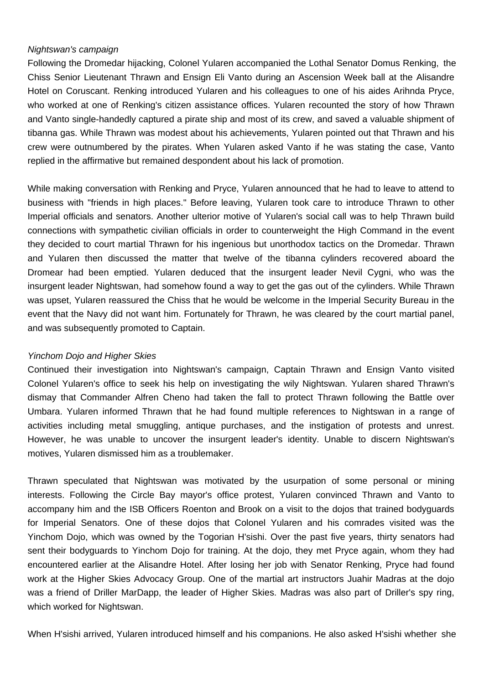## Nightswan's campaign

Following the Dromedar hijacking, Colonel Yularen accompanied the Lothal Senator Domus Renking, the Chiss Senior Lieutenant Thrawn and Ensign Eli Vanto during an Ascension Week ball at the Alisandre Hotel on Coruscant. Renking introduced Yularen and his colleagues to one of his aides Arihnda Pryce, who worked at one of Renking's citizen assistance offices. Yularen recounted the story of how Thrawn and Vanto single-handedly captured a pirate ship and most of its crew, and saved a valuable shipment of tibanna gas. While Thrawn was modest about his achievements, Yularen pointed out that Thrawn and his crew were outnumbered by the pirates. When Yularen asked Vanto if he was stating the case, Vanto replied in the affirmative but remained despondent about his lack of promotion.

While making conversation with Renking and Pryce, Yularen announced that he had to leave to attend to business with "friends in high places." Before leaving, Yularen took care to introduce Thrawn to other Imperial officials and senators. Another ulterior motive of Yularen's social call was to help Thrawn build connections with sympathetic civilian officials in order to counterweight the High Command in the event they decided to court martial Thrawn for his ingenious but unorthodox tactics on the Dromedar. Thrawn and Yularen then discussed the matter that twelve of the tibanna cylinders recovered aboard the Dromear had been emptied. Yularen deduced that the insurgent leader Nevil Cygni, who was the insurgent leader Nightswan, had somehow found a way to get the gas out of the cylinders. While Thrawn was upset, Yularen reassured the Chiss that he would be welcome in the Imperial Security Bureau in the event that the Navy did not want him. Fortunately for Thrawn, he was cleared by the court martial panel, and was subsequently promoted to Captain.

# Yinchom Dojo and Higher Skies

Continued their investigation into Nightswan's campaign, Captain Thrawn and Ensign Vanto visited Colonel Yularen's office to seek his help on investigating the wily Nightswan. Yularen shared Thrawn's dismay that Commander Alfren Cheno had taken the fall to protect Thrawn following the Battle over Umbara. Yularen informed Thrawn that he had found multiple references to Nightswan in a range of activities including metal smuggling, antique purchases, and the instigation of protests and unrest. However, he was unable to uncover the insurgent leader's identity. Unable to discern Nightswan's motives, Yularen dismissed him as a troublemaker.

Thrawn speculated that Nightswan was motivated by the usurpation of some personal or mining interests. Following the Circle Bay mayor's office protest, Yularen convinced Thrawn and Vanto to accompany him and the ISB Officers Roenton and Brook on a visit to the dojos that trained bodyguards for Imperial Senators. One of these dojos that Colonel Yularen and his comrades visited was the Yinchom Dojo, which was owned by the Togorian H'sishi. Over the past five years, thirty senators had sent their bodyguards to Yinchom Dojo for training. At the dojo, they met Pryce again, whom they had encountered earlier at the Alisandre Hotel. After losing her job with Senator Renking, Pryce had found work at the Higher Skies Advocacy Group. One of the martial art instructors Juahir Madras at the dojo was a friend of Driller MarDapp, the leader of Higher Skies. Madras was also part of Driller's spy ring, which worked for Nightswan.

When H'sishi arrived, Yularen introduced himself and his companions. He also asked H'sishi whether she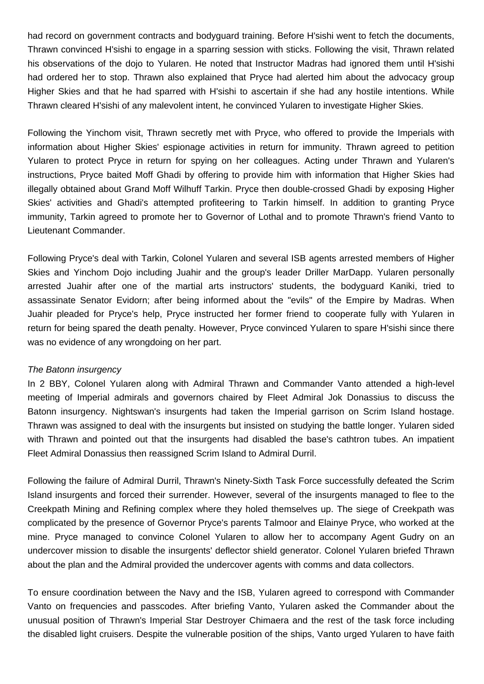had record on government contracts and bodyguard training. Before H'sishi went to fetch the documents, Thrawn convinced H'sishi to engage in a sparring session with sticks. Following the visit, Thrawn related his observations of the dojo to Yularen. He noted that Instructor Madras had ignored them until H'sishi had ordered her to stop. Thrawn also explained that Pryce had alerted him about the advocacy group Higher Skies and that he had sparred with H'sishi to ascertain if she had any hostile intentions. While Thrawn cleared H'sishi of any malevolent intent, he convinced Yularen to investigate Higher Skies.

Following the Yinchom visit, Thrawn secretly met with Pryce, who offered to provide the Imperials with information about Higher Skies' espionage activities in return for immunity. Thrawn agreed to petition Yularen to protect Pryce in return for spying on her colleagues. Acting under Thrawn and Yularen's instructions, Pryce baited Moff Ghadi by offering to provide him with information that Higher Skies had illegally obtained about Grand Moff Wilhuff Tarkin. Pryce then double-crossed Ghadi by exposing Higher Skies' activities and Ghadi's attempted profiteering to Tarkin himself. In addition to granting Pryce immunity, Tarkin agreed to promote her to Governor of Lothal and to promote Thrawn's friend Vanto to Lieutenant Commander.

Following Pryce's deal with Tarkin, Colonel Yularen and several ISB agents arrested members of Higher Skies and Yinchom Dojo including Juahir and the group's leader Driller MarDapp. Yularen personally arrested Juahir after one of the martial arts instructors' students, the bodyguard Kaniki, tried to assassinate Senator Evidorn; after being informed about the "evils" of the Empire by Madras. When Juahir pleaded for Pryce's help, Pryce instructed her former friend to cooperate fully with Yularen in return for being spared the death penalty. However, Pryce convinced Yularen to spare H'sishi since there was no evidence of any wrongdoing on her part.

#### The Batonn insurgency

In 2 BBY, Colonel Yularen along with Admiral Thrawn and Commander Vanto attended a high-level meeting of Imperial admirals and governors chaired by Fleet Admiral Jok Donassius to discuss the Batonn insurgency. Nightswan's insurgents had taken the Imperial garrison on Scrim Island hostage. Thrawn was assigned to deal with the insurgents but insisted on studying the battle longer. Yularen sided with Thrawn and pointed out that the insurgents had disabled the base's cathtron tubes. An impatient Fleet Admiral Donassius then reassigned Scrim Island to Admiral Durril.

Following the failure of Admiral Durril, Thrawn's Ninety-Sixth Task Force successfully defeated the Scrim Island insurgents and forced their surrender. However, several of the insurgents managed to flee to the Creekpath Mining and Refining complex where they holed themselves up. The siege of Creekpath was complicated by the presence of Governor Pryce's parents Talmoor and Elainye Pryce, who worked at the mine. Pryce managed to convince Colonel Yularen to allow her to accompany Agent Gudry on an undercover mission to disable the insurgents' deflector shield generator. Colonel Yularen briefed Thrawn about the plan and the Admiral provided the undercover agents with comms and data collectors.

To ensure coordination between the Navy and the ISB, Yularen agreed to correspond with Commander Vanto on frequencies and passcodes. After briefing Vanto, Yularen asked the Commander about the unusual position of Thrawn's Imperial Star Destroyer Chimaera and the rest of the task force including the disabled light cruisers. Despite the vulnerable position of the ships, Vanto urged Yularen to have faith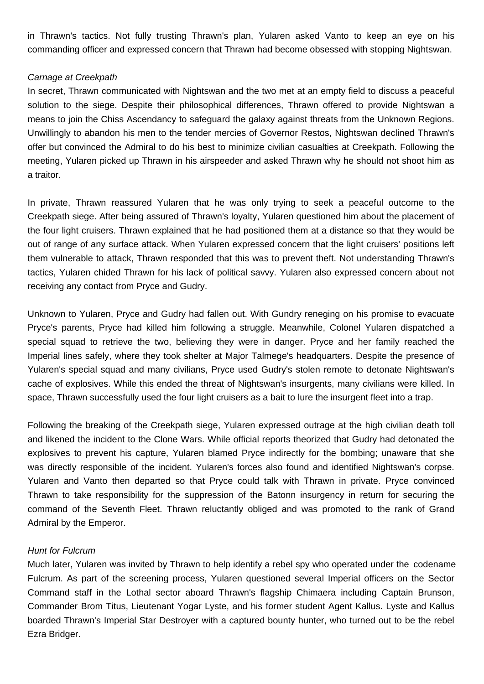in Thrawn's tactics. Not fully trusting Thrawn's plan, Yularen asked Vanto to keep an eye on his commanding officer and expressed concern that Thrawn had become obsessed with stopping Nightswan.

## Carnage at Creekpath

In secret, Thrawn communicated with Nightswan and the two met at an empty field to discuss a peaceful solution to the siege. Despite their philosophical differences, Thrawn offered to provide Nightswan a means to join the Chiss Ascendancy to safeguard the galaxy against threats from the Unknown Regions. Unwillingly to abandon his men to the tender mercies of Governor Restos, Nightswan declined Thrawn's offer but convinced the Admiral to do his best to minimize civilian casualties at Creekpath. Following the meeting, Yularen picked up Thrawn in his airspeeder and asked Thrawn why he should not shoot him as a traitor.

In private, Thrawn reassured Yularen that he was only trying to seek a peaceful outcome to the Creekpath siege. After being assured of Thrawn's loyalty, Yularen questioned him about the placement of the four light cruisers. Thrawn explained that he had positioned them at a distance so that they would be out of range of any surface attack. When Yularen expressed concern that the light cruisers' positions left them vulnerable to attack, Thrawn responded that this was to prevent theft. Not understanding Thrawn's tactics, Yularen chided Thrawn for his lack of political savvy. Yularen also expressed concern about not receiving any contact from Pryce and Gudry.

Unknown to Yularen, Pryce and Gudry had fallen out. With Gundry reneging on his promise to evacuate Pryce's parents, Pryce had killed him following a struggle. Meanwhile, Colonel Yularen dispatched a special squad to retrieve the two, believing they were in danger. Pryce and her family reached the Imperial lines safely, where they took shelter at Major Talmege's headquarters. Despite the presence of Yularen's special squad and many civilians, Pryce used Gudry's stolen remote to detonate Nightswan's cache of explosives. While this ended the threat of Nightswan's insurgents, many civilians were killed. In space, Thrawn successfully used the four light cruisers as a bait to lure the insurgent fleet into a trap.

Following the breaking of the Creekpath siege, Yularen expressed outrage at the high civilian death toll and likened the incident to the Clone Wars. While official reports theorized that Gudry had detonated the explosives to prevent his capture, Yularen blamed Pryce indirectly for the bombing; unaware that she was directly responsible of the incident. Yularen's forces also found and identified Nightswan's corpse. Yularen and Vanto then departed so that Pryce could talk with Thrawn in private. Pryce convinced Thrawn to take responsibility for the suppression of the Batonn insurgency in return for securing the command of the Seventh Fleet. Thrawn reluctantly obliged and was promoted to the rank of Grand Admiral by the Emperor.

# Hunt for Fulcrum

Much later, Yularen was invited by Thrawn to help identify a rebel spy who operated under the codename Fulcrum. As part of the screening process, Yularen questioned several Imperial officers on the Sector Command staff in the Lothal sector aboard Thrawn's flagship Chimaera including Captain Brunson, Commander Brom Titus, Lieutenant Yogar Lyste, and his former student Agent Kallus. Lyste and Kallus boarded Thrawn's Imperial Star Destroyer with a captured bounty hunter, who turned out to be the rebel Ezra Bridger.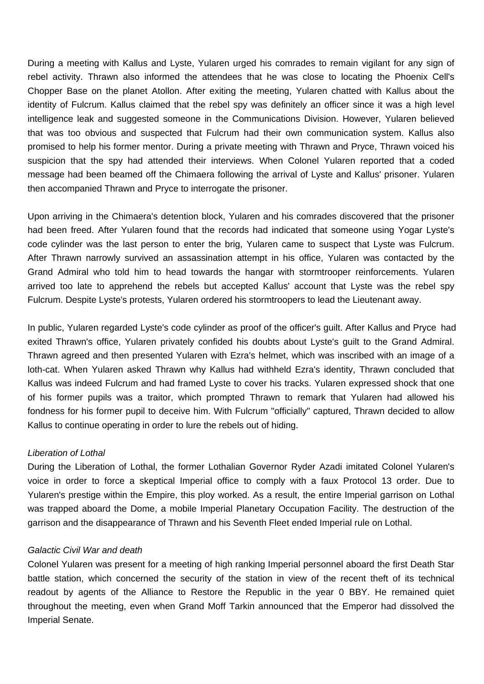During a meeting with Kallus and Lyste, Yularen urged his comrades to remain vigilant for any sign of rebel activity. Thrawn also informed the attendees that he was close to locating the Phoenix Cell's Chopper Base on the planet Atollon. After exiting the meeting, Yularen chatted with Kallus about the identity of Fulcrum. Kallus claimed that the rebel spy was definitely an officer since it was a high level intelligence leak and suggested someone in the Communications Division. However, Yularen believed that was too obvious and suspected that Fulcrum had their own communication system. Kallus also promised to help his former mentor. During a private meeting with Thrawn and Pryce, Thrawn voiced his suspicion that the spy had attended their interviews. When Colonel Yularen reported that a coded message had been beamed off the Chimaera following the arrival of Lyste and Kallus' prisoner. Yularen then accompanied Thrawn and Pryce to interrogate the prisoner.

Upon arriving in the Chimaera's detention block, Yularen and his comrades discovered that the prisoner had been freed. After Yularen found that the records had indicated that someone using Yogar Lyste's code cylinder was the last person to enter the brig, Yularen came to suspect that Lyste was Fulcrum. After Thrawn narrowly survived an assassination attempt in his office, Yularen was contacted by the Grand Admiral who told him to head towards the hangar with stormtrooper reinforcements. Yularen arrived too late to apprehend the rebels but accepted Kallus' account that Lyste was the rebel spy Fulcrum. Despite Lyste's protests, Yularen ordered his stormtroopers to lead the Lieutenant away.

In public, Yularen regarded Lyste's code cylinder as proof of the officer's guilt. After Kallus and Pryce had exited Thrawn's office, Yularen privately confided his doubts about Lyste's guilt to the Grand Admiral. Thrawn agreed and then presented Yularen with Ezra's helmet, which was inscribed with an image of a loth-cat. When Yularen asked Thrawn why Kallus had withheld Ezra's identity, Thrawn concluded that Kallus was indeed Fulcrum and had framed Lyste to cover his tracks. Yularen expressed shock that one of his former pupils was a traitor, which prompted Thrawn to remark that Yularen had allowed his fondness for his former pupil to deceive him. With Fulcrum "officially" captured, Thrawn decided to allow Kallus to continue operating in order to lure the rebels out of hiding.

## Liberation of Lothal

During the Liberation of Lothal, the former Lothalian Governor Ryder Azadi imitated Colonel Yularen's voice in order to force a skeptical Imperial office to comply with a faux Protocol 13 order. Due to Yularen's prestige within the Empire, this ploy worked. As a result, the entire Imperial garrison on Lothal was trapped aboard the Dome, a mobile Imperial Planetary Occupation Facility. The destruction of the garrison and the disappearance of Thrawn and his Seventh Fleet ended Imperial rule on Lothal.

## Galactic Civil War and death

Colonel Yularen was present for a meeting of high ranking Imperial personnel aboard the first Death Star battle station, which concerned the security of the station in view of the recent theft of its technical readout by agents of the Alliance to Restore the Republic in the year 0 BBY. He remained quiet throughout the meeting, even when Grand Moff Tarkin announced that the Emperor had dissolved the Imperial Senate.